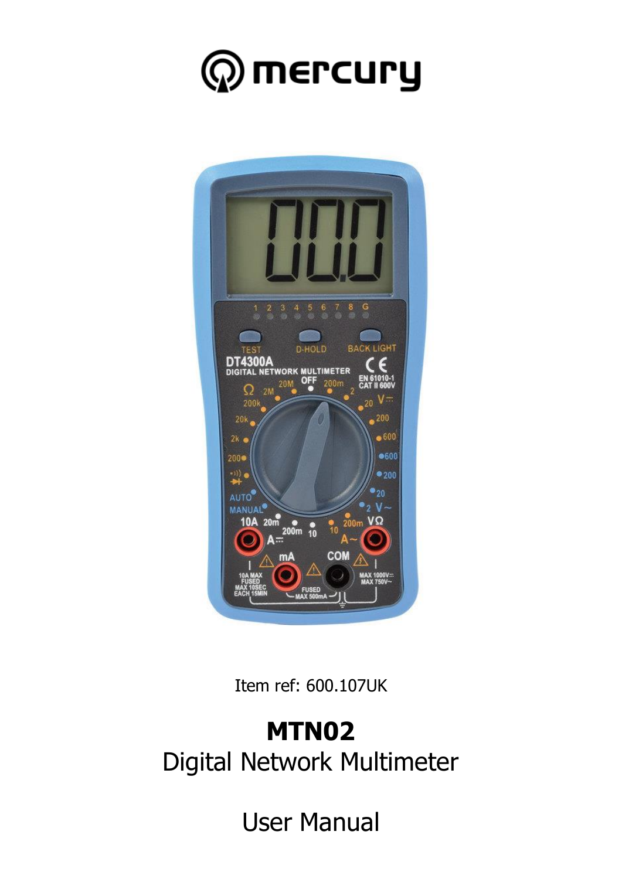



Item ref: 600.107UK

## **MTN02** Digital Network Multimeter

User Manual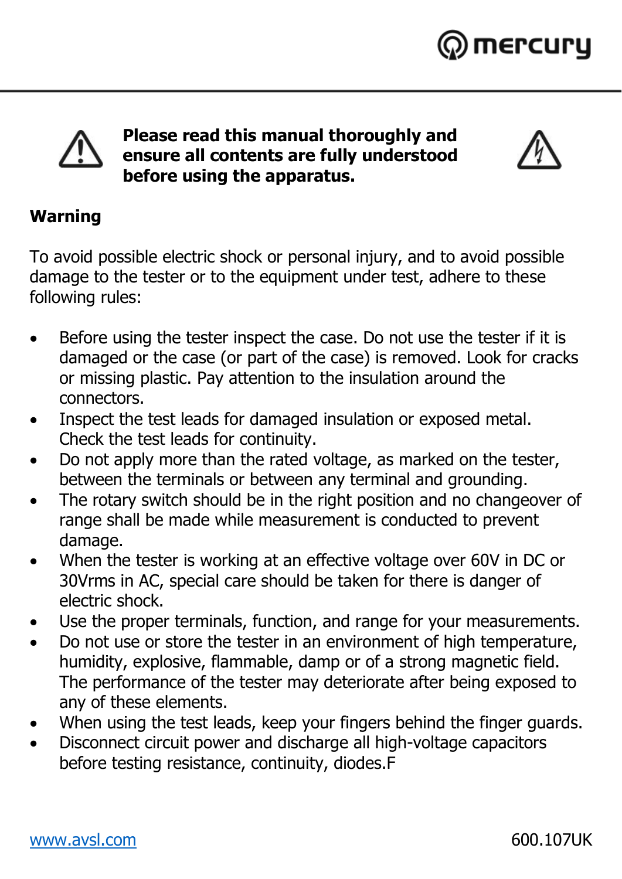



**Please read this manual thoroughly and ensure all contents are fully understood before using the apparatus.**



#### **Warning**

To avoid possible electric shock or personal injury, and to avoid possible damage to the tester or to the equipment under test, adhere to these following rules:

- Before using the tester inspect the case. Do not use the tester if it is damaged or the case (or part of the case) is removed. Look for cracks or missing plastic. Pay attention to the insulation around the connectors.
- Inspect the test leads for damaged insulation or exposed metal. Check the test leads for continuity.
- Do not apply more than the rated voltage, as marked on the tester, between the terminals or between any terminal and grounding.
- The rotary switch should be in the right position and no changeover of range shall be made while measurement is conducted to prevent damage.
- When the tester is working at an effective voltage over 60V in DC or 30Vrms in AC, special care should be taken for there is danger of electric shock.
- Use the proper terminals, function, and range for your measurements.
- Do not use or store the tester in an environment of high temperature, humidity, explosive, flammable, damp or of a strong magnetic field. The performance of the tester may deteriorate after being exposed to any of these elements.
- When using the test leads, keep your fingers behind the finger guards.
- Disconnect circuit power and discharge all high-voltage capacitors before testing resistance, continuity, diodes.F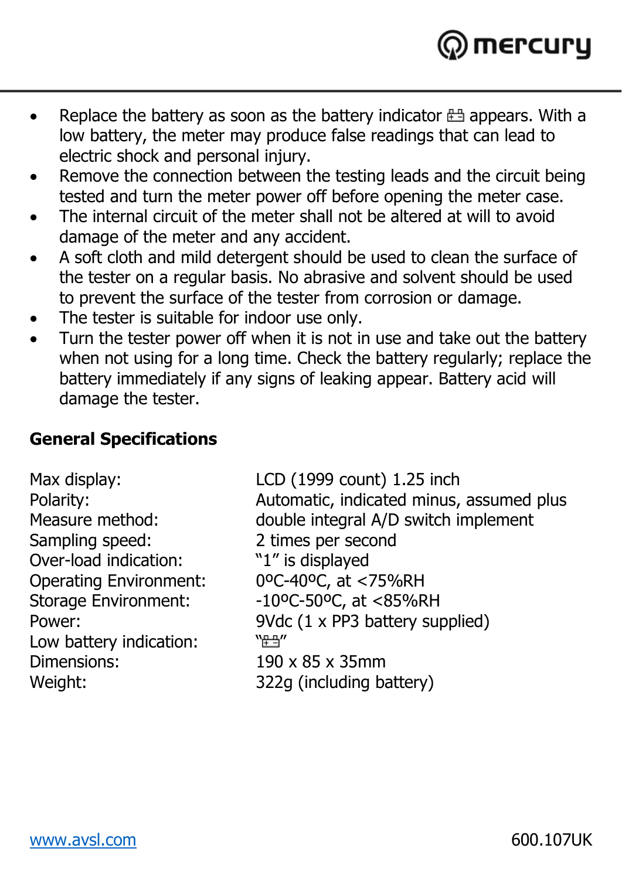

- Replace the battery as soon as the battery indicator  $\pm$  appears. With a low battery, the meter may produce false readings that can lead to electric shock and personal injury.
- Remove the connection between the testing leads and the circuit being tested and turn the meter power off before opening the meter case.
- The internal circuit of the meter shall not be altered at will to avoid damage of the meter and any accident.
- A soft cloth and mild detergent should be used to clean the surface of the tester on a regular basis. No abrasive and solvent should be used to prevent the surface of the tester from corrosion or damage.
- The tester is suitable for indoor use only.
- Turn the tester power off when it is not in use and take out the battery when not using for a long time. Check the battery regularly; replace the battery immediately if any signs of leaking appear. Battery acid will damage the tester.

#### **General Specifications**

Sampling speed: 2 times per second Over-load indication: "1" is displayed Operating Environment: 0ºC-40ºC, at <75%RH Low battery indication: """ Dimensions: 190 x 85 x 35mm

Max display: LCD (1999 count) 1.25 inch Polarity: Automatic, indicated minus, assumed plus double integral A/D switch implement Storage Environment: -10°C-50°C, at <85%RH Power: 9Vdc (1 x PP3 battery supplied) Weight: 322g (including battery)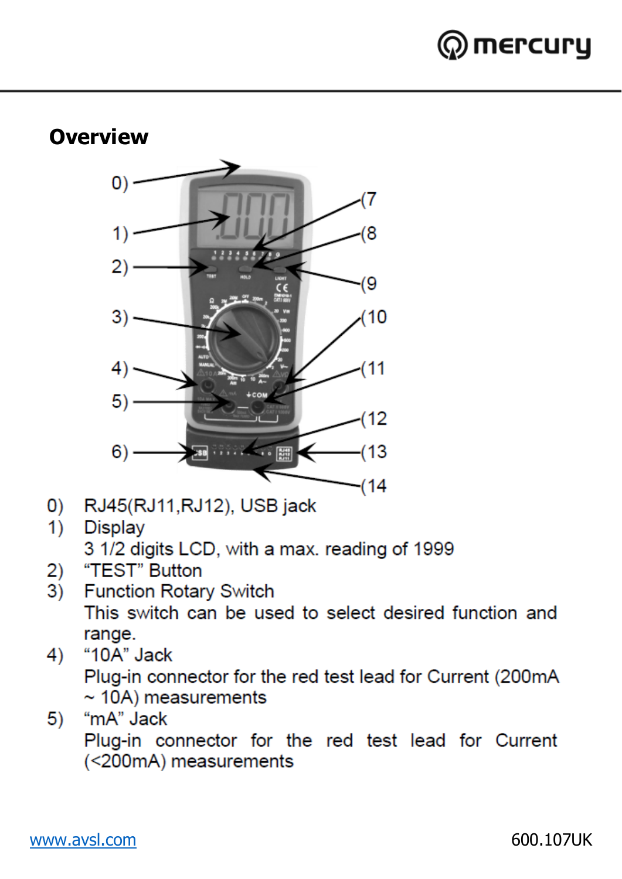

## **Overview**



- RJ45(RJ11, RJ12), USB jack  $\mathbf{O}$
- $1)$ **Display**

3 1/2 digits LCD, with a max, reading of 1999

- "TEST" Button  $2)$
- $3)$ **Function Rotary Switch** This switch can be used to select desired function and range.
- "10A" Jack  $4)$ Plug-in connector for the red test lead for Current (200mA  $\sim$  10A) measurements
- "mA" Jack  $5)$ Plug-in connector for the red test lead for Current (<200mA) measurements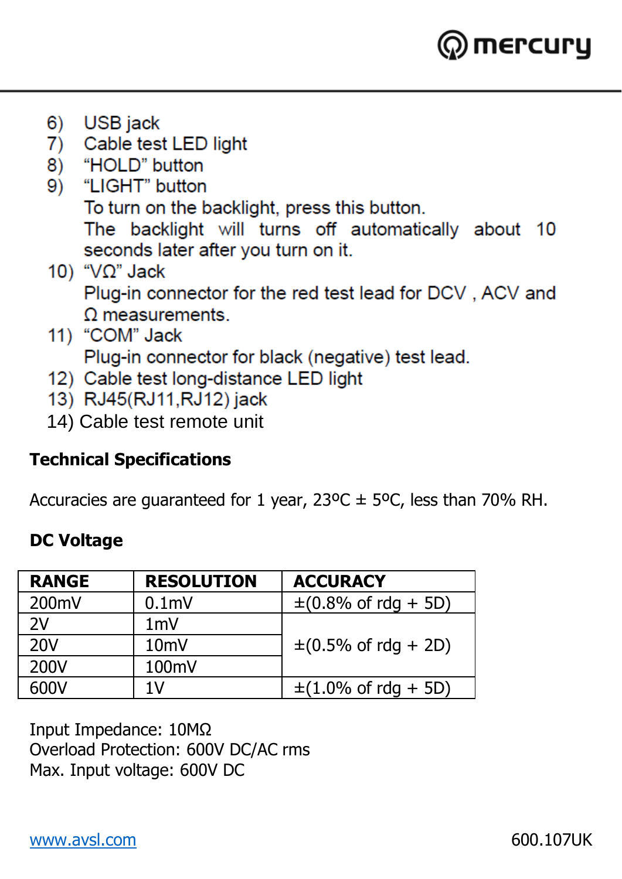

- $6)$ **USB** jack
- 7) Cable test LED light
- "HOI D" button 8)
- "I IGHT" button  $9)$ To turn on the backlight, press this button. The backlight will turns off automatically about 10 seconds later after you turn on it.
- 10) " $V\Omega$ " Jack Plug-in connector for the red test lead for DCV, ACV and  $\Omega$  measurements.
- 11) "COM" Jack

Plug-in connector for black (negative) test lead.

- 12) Cable test long-distance LED light
- 13) RJ45(RJ11, RJ12) jack
- 14) Cable test remote unit

#### **Technical Specifications**

Accuracies are guaranteed for 1 year,  $23^{\circ}$ C  $\pm$  5°C, less than 70% RH.

#### **DC Voltage**

| <b>RANGE</b> | <b>RESOLUTION</b> | <b>ACCURACY</b>                                   |  |  |  |  |
|--------------|-------------------|---------------------------------------------------|--|--|--|--|
| 200mV        | 0.1 <sub>m</sub>  | $\pm (0.8\% \text{ of } \text{rdq } + 5\text{D})$ |  |  |  |  |
| 2V           | 1mV               |                                                   |  |  |  |  |
| 20V          | 10mV              | $\pm (0.5\% \text{ of } \text{rdq } + 2D)$        |  |  |  |  |
| 200V         | 100mV             |                                                   |  |  |  |  |
| 600V         | 1V                | $\pm (1.0\% \text{ of } \text{rdq } + 5D)$        |  |  |  |  |

Input Impedance: 10MΩ Overload Protection: 600V DC/AC rms Max. Input voltage: 600V DC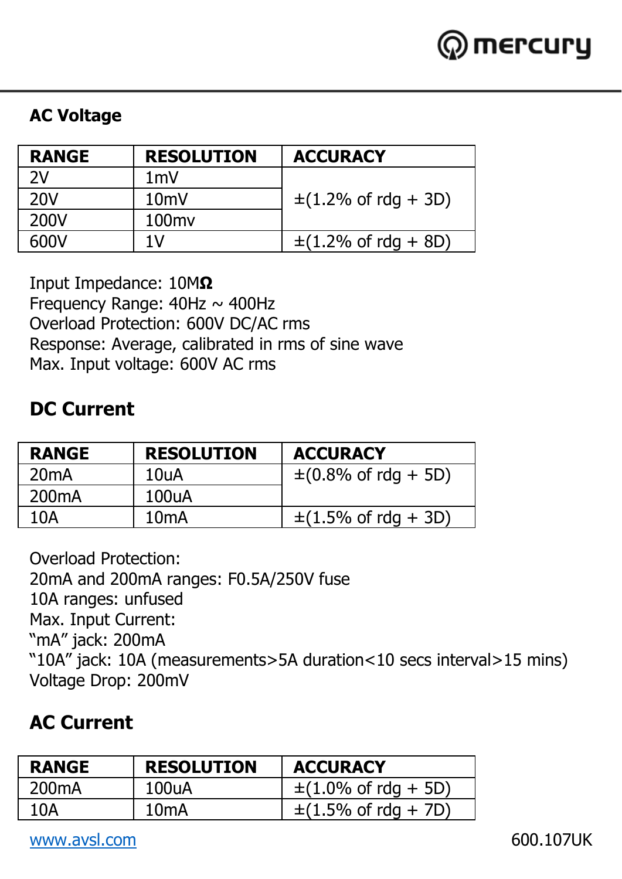

#### **AC Voltage**

| <b>RANGE</b> | <b>RESOLUTION</b> | <b>ACCURACY</b>          |  |  |  |  |
|--------------|-------------------|--------------------------|--|--|--|--|
| 2V           | 1mV               |                          |  |  |  |  |
| 20V          | $10m$ V           | $\pm$ (1.2% of rdg + 3D) |  |  |  |  |
| 200V         | 100 <sub>mv</sub> |                          |  |  |  |  |
| 600V         | 1V                | $\pm$ (1.2% of rdg + 8D) |  |  |  |  |

Input Impedance: 10M**Ω** Frequency Range:  $40$ Hz  $\sim$   $400$ Hz Overload Protection: 600V DC/AC rms Response: Average, calibrated in rms of sine wave Max. Input voltage: 600V AC rms

#### **DC Current**

| <b>RANGE</b>       | <b>RESOLUTION</b> | <b>ACCURACY</b>                            |
|--------------------|-------------------|--------------------------------------------|
| 20 <sub>m</sub> A  | 10uA              | $\pm (0.8\% \text{ of } \text{rdg } + 5D)$ |
| 200 <sub>m</sub> A | 100uA             |                                            |
| 10A                | 10 <sub>mA</sub>  | $\pm$ (1.5% of rdg + 3D)                   |

Overload Protection: 20mA and 200mA ranges: F0.5A/250V fuse 10A ranges: unfused Max. Input Current: "mA" jack: 200mA "10A" jack: 10A (measurements>5A duration<10 secs interval>15 mins) Voltage Drop: 200mV

#### **AC Current**

| <b>RANGE</b> | <b>RESOLUTION</b> | <b>ACCURACY</b>                           |
|--------------|-------------------|-------------------------------------------|
| 200mA        | 100uA             | $\pm (1.0\% \text{ of } \text{rdq} + 5D)$ |
| 10A          | 10 <sub>m</sub> A | $\pm(1.5\% \text{ of } \text{rda} + 7D)$  |

[www.avsl.com](http://www.avsl.com/) 600.107UK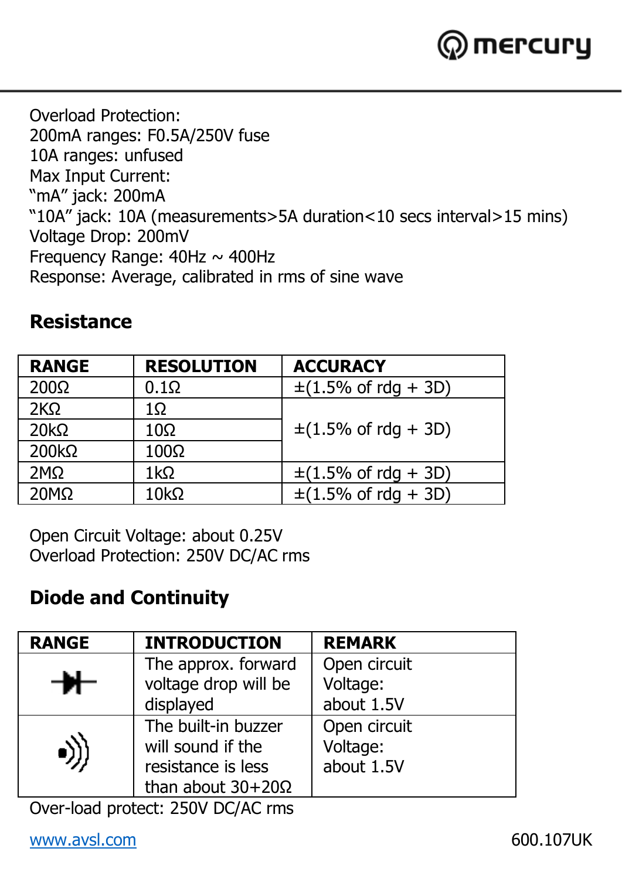

Overload Protection: 200mA ranges: F0.5A/250V fuse 10A ranges: unfused Max Input Current: "mA" jack: 200mA "10A" jack: 10A (measurements>5A duration<10 secs interval>15 mins) Voltage Drop: 200mV Frequency Range:  $40$ Hz  $\sim$   $400$ Hz Response: Average, calibrated in rms of sine wave

#### **Resistance**

| <b>RANGE</b> | <b>RESOLUTION</b> | <b>ACCURACY</b>                            |  |  |  |  |
|--------------|-------------------|--------------------------------------------|--|--|--|--|
| $200\Omega$  | $0.1\Omega$       | $\pm$ (1.5% of rdg + 3D)                   |  |  |  |  |
| 2KO          | 1Ω                |                                            |  |  |  |  |
| $20k\Omega$  | $10\Omega$        | $\pm (1.5\% \text{ of } \text{rdq } + 3D)$ |  |  |  |  |
| $200k\Omega$ | $100\Omega$       |                                            |  |  |  |  |
| 2MQ          | 1kO               | $\pm$ (1.5% of rdg + 3D)                   |  |  |  |  |
| $20M\Omega$  | $10k\Omega$       | $\pm$ (1.5% of rdg + 3D)                   |  |  |  |  |

Open Circuit Voltage: about 0.25V Overload Protection: 250V DC/AC rms

#### **Diode and Continuity**

| <b>RANGE</b> | <b>INTRODUCTION</b>                                                                        | <b>REMARK</b>                          |
|--------------|--------------------------------------------------------------------------------------------|----------------------------------------|
| ₩            | The approx. forward<br>voltage drop will be<br>displayed                                   | Open circuit<br>Voltage:<br>about 1.5V |
|              | The built-in buzzer<br>will sound if the<br>resistance is less<br>than about $30+20\Omega$ | Open circuit<br>Voltage:<br>about 1.5V |

Over-load protect: 250V DC/AC rms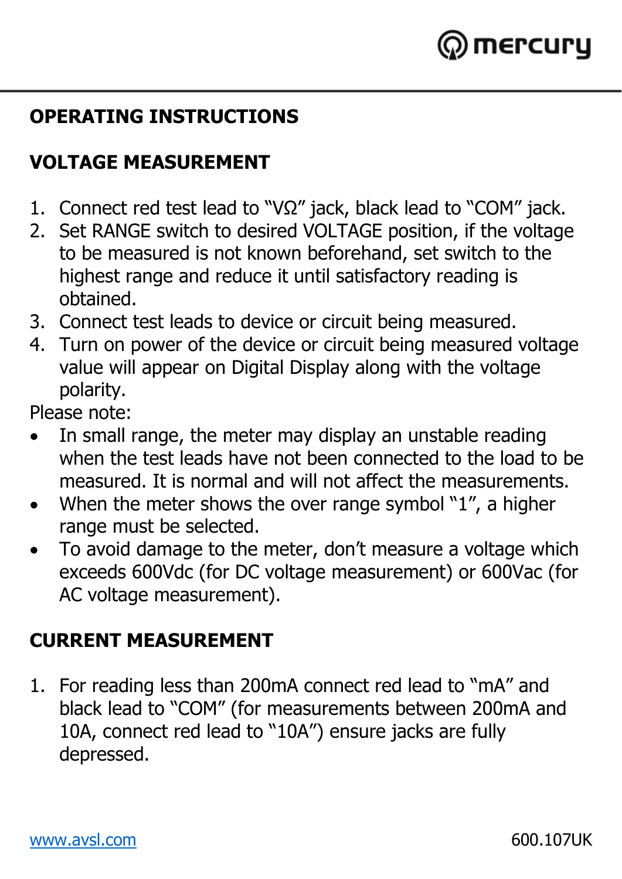

## **OPERATING INSTRUCTIONS**

## **VOLTAGE MEASUREMENT**

- 1. Connect red test lead to "VΩ" jack, black lead to "COM" jack.
- 2. Set RANGE switch to desired VOLTAGE position, if the voltage to be measured is not known beforehand, set switch to the highest range and reduce it until satisfactory reading is obtained.
- 3. Connect test leads to device or circuit being measured.
- 4. Turn on power of the device or circuit being measured voltage value will appear on Digital Display along with the voltage polarity.

Please note:

- In small range, the meter may display an unstable reading when the test leads have not been connected to the load to be measured. It is normal and will not affect the measurements.
- When the meter shows the over range symbol "1", a higher range must be selected.
- To avoid damage to the meter, don't measure a voltage which exceeds 600Vdc (for DC voltage measurement) or 600Vac (for AC voltage measurement).

## **CURRENT MEASUREMENT**

1. For reading less than 200mA connect red lead to "mA" and black lead to "COM" (for measurements between 200mA and 10A, connect red lead to "10A") ensure jacks are fully depressed.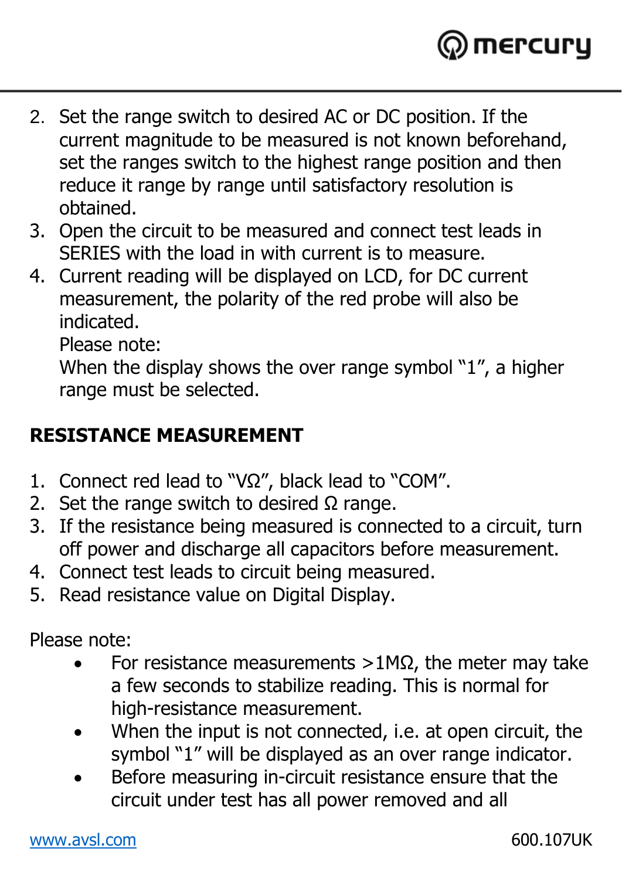

- 2. Set the range switch to desired AC or DC position. If the current magnitude to be measured is not known beforehand, set the ranges switch to the highest range position and then reduce it range by range until satisfactory resolution is obtained.
- 3. Open the circuit to be measured and connect test leads in SERIES with the load in with current is to measure.
- 4. Current reading will be displayed on LCD, for DC current measurement, the polarity of the red probe will also be indicated.

Please note:

When the display shows the over range symbol "1", a higher range must be selected.

#### **RESISTANCE MEASUREMENT**

- 1. Connect red lead to "VΩ", black lead to "COM".
- 2. Set the range switch to desired  $\Omega$  range.
- 3. If the resistance being measured is connected to a circuit, turn off power and discharge all capacitors before measurement.
- 4. Connect test leads to circuit being measured.
- 5. Read resistance value on Digital Display.

Please note:

- For resistance measurements >1MΩ, the meter may take a few seconds to stabilize reading. This is normal for high-resistance measurement.
- When the input is not connected, i.e. at open circuit, the symbol "1" will be displayed as an over range indicator.
- Before measuring in-circuit resistance ensure that the circuit under test has all power removed and all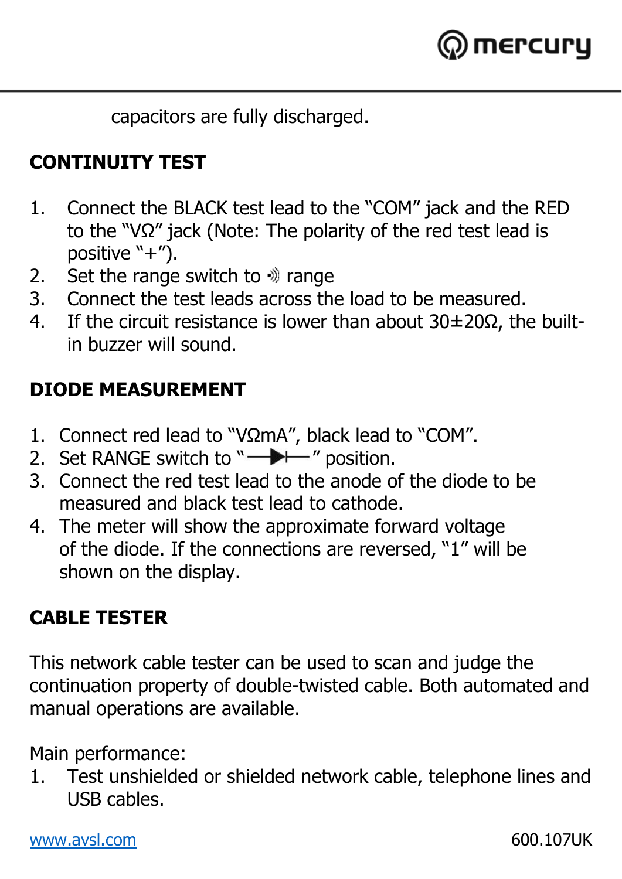

capacitors are fully discharged.

## **CONTINUITY TEST**

- 1. Connect the BLACK test lead to the "COM" jack and the RED to the "VΩ" jack (Note: The polarity of the red test lead is positive "+").
- 2. Set the range switch to  $\hat{y}$  range
- 3. Connect the test leads across the load to be measured.
- 4. If the circuit resistance is lower than about 30±20Ω, the builtin buzzer will sound.

## **DIODE MEASUREMENT**

- 1. Connect red lead to "VΩmA", black lead to "COM".
- 2. Set RANGE switch to " $\longrightarrow$ " position.
- 3. Connect the red test lead to the anode of the diode to be measured and black test lead to cathode.
- 4. The meter will show the approximate forward voltage of the diode. If the connections are reversed, "1" will be shown on the display.

## **CABLE TESTER**

This network cable tester can be used to scan and judge the continuation property of double-twisted cable. Both automated and manual operations are available.

Main performance:

1. Test unshielded or shielded network cable, telephone lines and USB cables.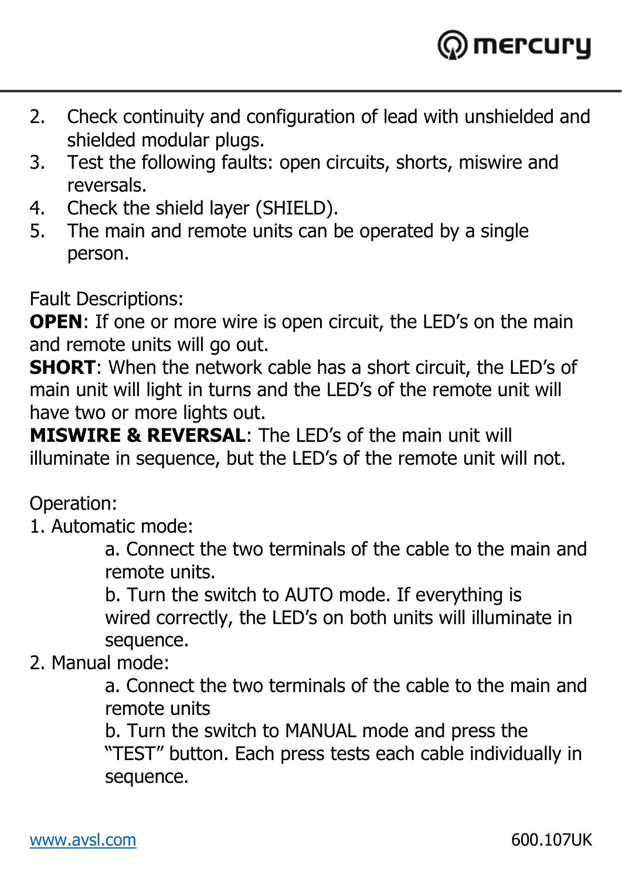

- 2. Check continuity and configuration of lead with unshielded and shielded modular plugs.
- 3. Test the following faults: open circuits, shorts, miswire and reversals.
- 4. Check the shield layer (SHIELD).
- 5. The main and remote units can be operated by a single person.

Fault Descriptions:

**OPEN:** If one or more wire is open circuit, the LED's on the main and remote units will go out.

**SHORT**: When the network cable has a short circuit, the LED's of main unit will light in turns and the LED's of the remote unit will have two or more lights out.

**MISWIRE & REVERSAL**: The LED's of the main unit will illuminate in sequence, but the LED's of the remote unit will not.

Operation:

1. Automatic mode:

a. Connect the two terminals of the cable to the main and remote units.

b. Turn the switch to AUTO mode. If everything is wired correctly, the LED's on both units will illuminate in sequence.

2. Manual mode:

a. Connect the two terminals of the cable to the main and remote units

b. Turn the switch to MANUAL mode and press the

"TEST" button. Each press tests each cable individually in sequence.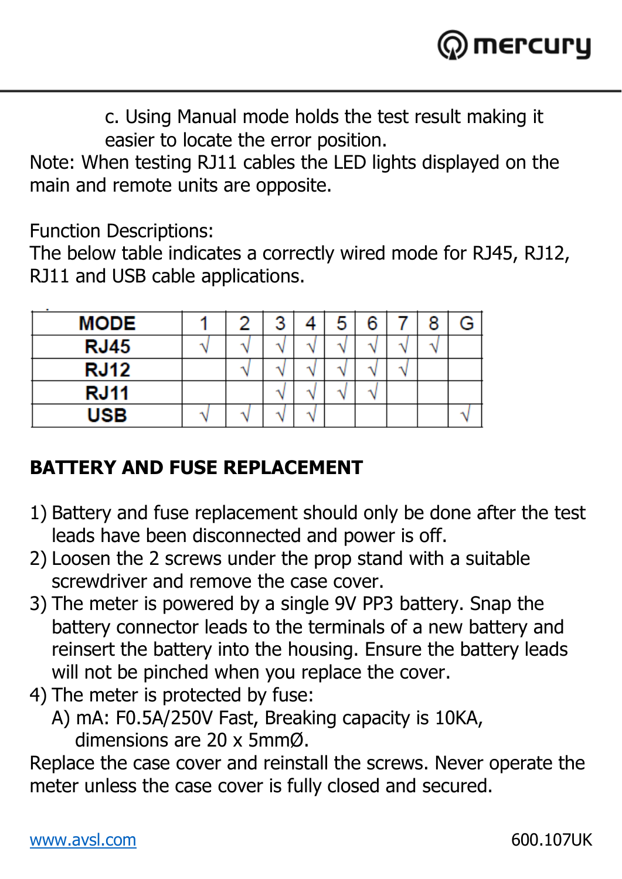

c. Using Manual mode holds the test result making it easier to locate the error position.

Note: When testing RJ11 cables the LED lights displayed on the main and remote units are opposite.

Function Descriptions:

The below table indicates a correctly wired mode for RJ45, RJ12, RJ11 and USB cable applications.

| MODE        |  | 2<br>J | 5 | 6 |   | 8 |  |
|-------------|--|--------|---|---|---|---|--|
| <b>RJ45</b> |  |        |   |   | - |   |  |
| <b>RJ12</b> |  |        |   |   |   |   |  |
| <b>RJ11</b> |  |        |   |   |   |   |  |
| USB         |  |        |   |   |   |   |  |

#### **BATTERY AND FUSE REPLACEMENT**

- 1) Battery and fuse replacement should only be done after the test leads have been disconnected and power is off.
- 2) Loosen the 2 screws under the prop stand with a suitable screwdriver and remove the case cover.
- 3) The meter is powered by a single 9V PP3 battery. Snap the battery connector leads to the terminals of a new battery and reinsert the battery into the housing. Ensure the battery leads will not be pinched when you replace the cover.
- 4) The meter is protected by fuse:
	- A) mA: F0.5A/250V Fast, Breaking capacity is 10KA, dimensions are 20 x 5mmØ.

Replace the case cover and reinstall the screws. Never operate the meter unless the case cover is fully closed and secured.